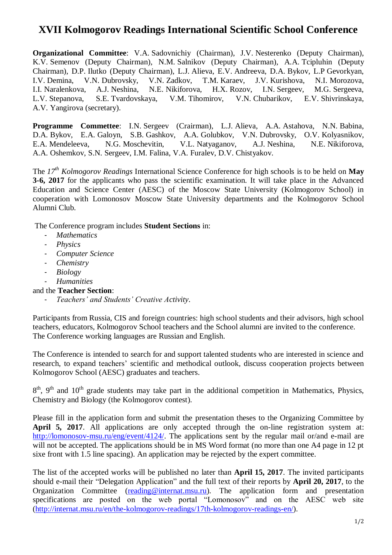## **XVII Kolmogorov Readings International Scientific School Conference**

**Organizational Committee**: V.A. Sadovnichiy (Chairman), J.V. Nesterenko (Deputy Chairman), K.V. Semenov (Deputy Chairman), N.M. Salnikov (Deputy Chairman), A.A. Tcipluhin (Deputy Chairman), D.P. Ilutko (Deputy Chairman), L.J. Alieva, E.V. Andreeva, D.A. Bykov, L.P Gevorkyan, I.V. Demina, V.N. Dubrovsky, V.N. Zadkov, T.M. Karaev, J.V. Kurishova, N.I. Morozova, I.I. Naralenkova, A.J. Neshina, N.E. Nikiforova, H.X. Rozov, I.N. Sergeev, M.G. Sergeeva, L.V. Stepanova, S.E. Tvardovskaya, V.M. Tihomirov, V.N. Chubarikov, E.V. Shivrinskaya, A.V. Yangirova (secretary).

**Programme Commettee**: I.N. Sergeev (Crairman), L.J. Alieva, A.A. Astahova, N.N. Babina, D.A. Bykov, E.A. Galoyn, S.B. Gashkov, A.A. Golubkov, V.N. Dubrovsky, O.V. Kolyasnikov, E.A. Mendeleeva, N.G. Moschevitin, V.L. Natyaganov, A.J. Neshina, N.E. Nikiforova, A.A. Oshemkov, S.N. Sergeev, I.M. Falina, V.A. Furalev, D.V. Chistyakov.

The *17th Kolmogorov Readings* International Science Conference for high schools is to be held on **May 3-6, 2017** for the applicants who pass the scientific examination. It will take place in the Advanced Education and Science Center (AESC) of the Moscow State University (Kolmogorov School) in cooperation with Lomonosov Moscow State University departments and the Kolmogorov School Alumni Club.

The Conference program includes **Student Sections** in:

- *Mathematics*
- *Physics*
- *Computer Science*
- *Chemistry*
- *Biology*
- *Humanities*

and the **Teacher Section**:

- *Teachers' and Students' Creative Activity*.

Participants from Russia, CIS and foreign countries: high school students and their advisors, high school teachers, educators, Kolmogorov School teachers and the School alumni are invited to the conference. The Conference working languages are Russian and English.

The Conference is intended to search for and support talented students who are interested in science and research, to expand teachers' scientific and methodical outlook, discuss cooperation projects between Kolmogorov School (AESC) graduates and teachers.

 $8<sup>th</sup>$ , 9<sup>th</sup> and 10<sup>th</sup> grade students may take part in the additional competition in Mathematics, Physics, Chemistry and Biology (the Kolmogorov contest).

Please fill in the application form and submit the presentation theses to the Organizing Committee by **April 5, 2017**. All applications are only accepted through the on-line registration system at: [http://lomonosov-msu.ru/eng/event/4124/.](http://lomonosov-msu.ru/eng/event/4124/) The applications sent by the regular mail or/and e-mail are will not be accepted. The applications should be in MS Word format (no more than one A4 page in 12 pt sixe front with 1.5 line spacing). An application may be rejected by the expert committee.

The list of the accepted works will be published no later than **April 15, 2017**. The invited participants should e-mail their "Delegation Application" and the full text of their reports by **April 20, 2017**, to the Organization Committee [\(reading@internat.msu.ru\)](mailto:reading@internat.msu.ru). The application form and presentation specifications are posted on the web portal "Lomonosov" and on the AESC web site [\(http://internat.msu.ru/en/the-kolmogorov-readings/17th-kolmogorov-readings-en/\)](http://internat.msu.ru/en/the-kolmogorov-readings/17th-kolmogorov-readings-en/).